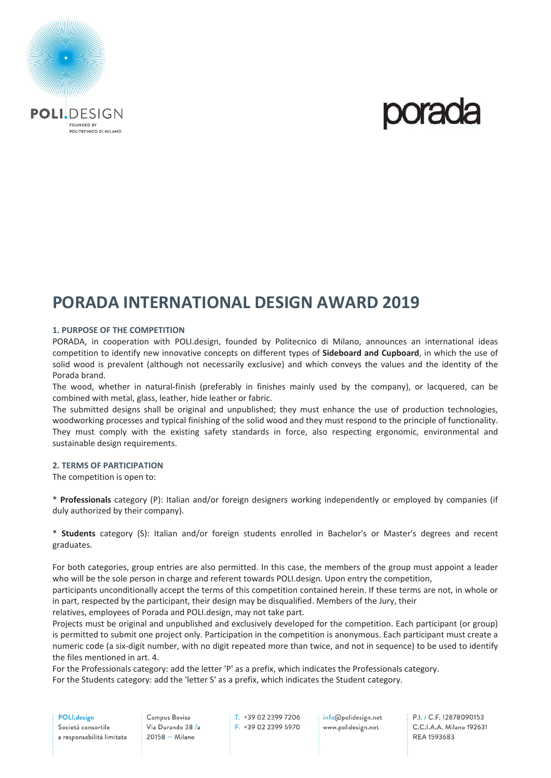

## **PORADA INTERNATIONAL DESIGN AWARD 2019**

#### **1. PURPOSE OF THE COMPETITION**

PORADA, in cooperation with POLI.design, founded by Politecnico di Milano, announces an international ideas competition to identify new innovative concepts on different types of **Sideboard and Cupboard**, in which the use of solid wood is prevalent (although not necessarily exclusive) and which conveys the values and the identity of the Porada brand.

The wood, whether in natural-finish (preferably in finishes mainly used by the company), or lacquered, can be combined with metal, glass, leather, hide leather or fabric.

The submitted designs shall be original and unpublished; they must enhance the use of production technologies, woodworking processes and typical finishing of the solid wood and they must respond to the principle of functionality. They must comply with the existing safety standards in force, also respecting ergonomic, environmental and sustainable design requirements.

#### **2. TERMS OF PARTICIPATION**

The competition is open to:

\* **Professionals** category (P): Italian and/or foreign designers working independently or employed by companies (if duly authorized by their company).

\* **Students**  category (S): Italian and/or foreign students enrolled in Bachelor's or Master's degrees and recent graduates.

For both categories, group entries are also permitted. In this case, the members of the group must appoint a leader who will be the sole person in charge and referent towards POLI.design. Upon entry the competition,

participants unconditionally accept the terms of this competition contained herein. If these terms are not, in whole or in part, respected by the participant, their design may be disqualified. Members of the Jury, their

relatives, employees of Porada and POLI.design, may not take part.

Projects must be original and unpublished and exclusively developed for the competition. Each participant (or group) is permitted to submit one project only. Participation in the competition is anonymous. Each participant must create a numeric code (a six‐digit number, with no digit repeated more than twice, and not in sequence) to be used to identify the files mentioned in art. 4.

For the Professionals category: add the letter 'P' as a prefix, which indicates the Professionals category. For the Students category: add the 'letter S' as a prefix, which indicates the Student category.

POLI.design

Società consortile a responsabilità limitata T +39 02 2399 7206 F. +39 02 2399 5970 info@polidesign.net www.polidesign.net

**PI / C E 12878090153** C.C.I.A.A. Milano 192631 REA 1593683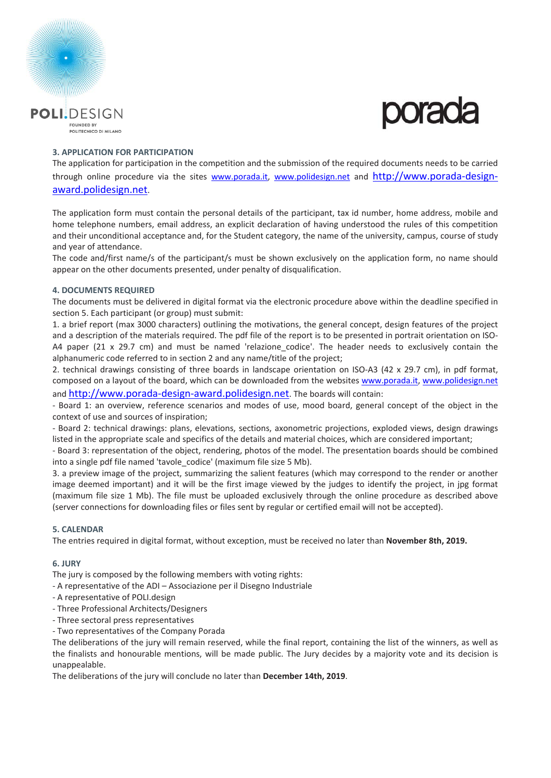



#### **3. APPLICATION FOR PARTICIPATION**

The application for participation in the competition and the submission of the required documents needs to be carried through online procedure via the sites www.porada.it, www.polidesign.net and http://www.porada-designaward.polidesign.net.

The application form must contain the personal details of the participant, tax id number, home address, mobile and home telephone numbers, email address, an explicit declaration of having understood the rules of this competition and their unconditional acceptance and, for the Student category, the name of the university, campus, course of study and year of attendance.

The code and/first name/s of the participant/s must be shown exclusively on the application form, no name should appear on the other documents presented, under penalty of disqualification.

#### **4. DOCUMENTS REQUIRED**

The documents must be delivered in digital format via the electronic procedure above within the deadline specified in section 5. Each participant (or group) must submit:

1. a brief report (max 3000 characters) outlining the motivations, the general concept, design features of the project and a description of the materials required. The pdf file of the report is to be presented in portrait orientation on ISO-A4 paper  $(21 \times 29.7 \text{ cm})$  and must be named 'relazione codice'. The header needs to exclusively contain the alphanumeric code referred to in section 2 and any name/title of the project;

2. technical drawings consisting of three boards in landscape orientation on ISO-A3 (42 x 29.7 cm), in pdf format, composed on a layout of the board, which can be downloaded from the websites www.porada.it, www.polidesign.net and http://www.porada-design-award.polidesign.net. The boards will contain:

‐ Board 1: an overview, reference scenarios and modes of use, mood board, general concept of the object in the context of use and sources of inspiration;

‐ Board 2: technical drawings: plans, elevations, sections, axonometric projections, exploded views, design drawings listed in the appropriate scale and specifics of the details and material choices, which are considered important;

‐ Board 3: representation of the object, rendering, photos of the model. The presentation boards should be combined into a single pdf file named 'tavole codice' (maximum file size 5 Mb).

3. a preview image of the project, summarizing the salient features (which may correspond to the render or another image deemed important) and it will be the first image viewed by the judges to identify the project, in jpg format (maximum file size 1 Mb). The file must be uploaded exclusively through the online procedure as described above (server connections for downloading files or files sent by regular or certified email will not be accepted).

### **5. CALENDAR**

The entries required in digital format, without exception, must be received no later than **November 8th, 2019.** 

#### **6. JURY**

The jury is composed by the following members with voting rights:

- ‐ A representative of the ADI Associazione per il Disegno Industriale
- ‐ A representative of POLI.design
- ‐ Three Professional Architects/Designers
- ‐ Three sectoral press representatives
- ‐ Two representatives of the Company Porada

The deliberations of the jury will remain reserved, while the final report, containing the list of the winners, as well as the finalists and honourable mentions, will be made public. The Jury decides by a majority vote and its decision is unappealable.

The deliberations of the jury will conclude no later than **December 14th, 2019**.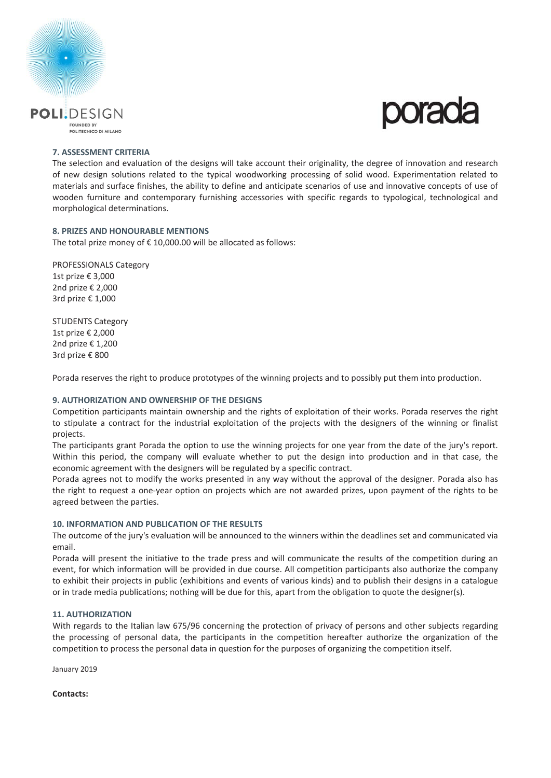



#### **7. ASSESSMENT CRITERIA**

The selection and evaluation of the designs will take account their originality, the degree of innovation and research of new design solutions related to the typical woodworking processing of solid wood. Experimentation related to materials and surface finishes, the ability to define and anticipate scenarios of use and innovative concepts of use of wooden furniture and contemporary furnishing accessories with specific regards to typological, technological and morphological determinations.

#### **8. PRIZES AND HONOURABLE MENTIONS**

The total prize money of  $\epsilon$  10,000,00 will be allocated as follows:

PROFESSIONALS Category 1st prize € 3,000 2nd prize € 2,000 3rd prize € 1,000

STUDENTS Category 1st prize € 2,000 2nd prize € 1,200 3rd prize € 800

Porada reserves the right to produce prototypes of the winning projects and to possibly put them into production.

#### **9. AUTHORIZATION AND OWNERSHIP OF THE DESIGNS**

Competition participants maintain ownership and the rights of exploitation of their works. Porada reserves the right to stipulate a contract for the industrial exploitation of the projects with the designers of the winning or finalist projects.

The participants grant Porada the option to use the winning projects for one year from the date of the jury's report. Within this period, the company will evaluate whether to put the design into production and in that case, the economic agreement with the designers will be regulated by a specific contract.

Porada agrees not to modify the works presented in any way without the approval of the designer. Porada also has the right to request a one‐year option on projects which are not awarded prizes, upon payment of the rights to be agreed between the parties.

#### **10. INFORMATION AND PUBLICATION OF THE RESULTS**

The outcome of the jury's evaluation will be announced to the winners within the deadlines set and communicated via email.

Porada will present the initiative to the trade press and will communicate the results of the competition during an event, for which information will be provided in due course. All competition participants also authorize the company to exhibit their projects in public (exhibitions and events of various kinds) and to publish their designs in a catalogue or in trade media publications; nothing will be due for this, apart from the obligation to quote the designer(s).

#### **11. AUTHORIZATION**

With regards to the Italian law 675/96 concerning the protection of privacy of persons and other subjects regarding the processing of personal data, the participants in the competition hereafter authorize the organization of the competition to process the personal data in question for the purposes of organizing the competition itself.

January 2019

**Contacts:**